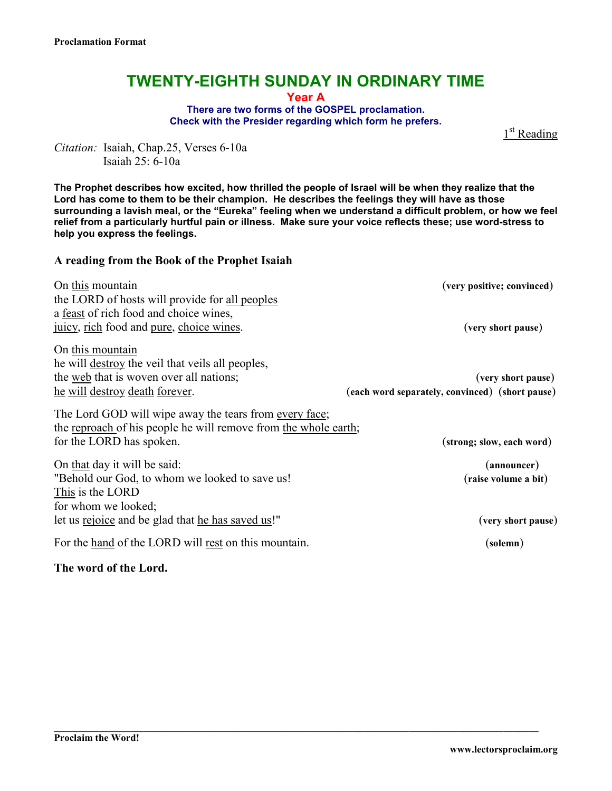# **TWENTY-EIGHTH SUNDAY IN ORDINARY TIME**

**Year A** 

**There are two forms of the GOSPEL proclamation. Check with the Presider regarding which form he prefers.** 

1<sup>st</sup> Reading

*Citation:* Isaiah, Chap.25, Verses 6-10a Isaiah 25: 6-10a

**The Prophet describes how excited, how thrilled the people of Israel will be when they realize that the Lord has come to them to be their champion. He describes the feelings they will have as those surrounding a lavish meal, or the "Eureka" feeling when we understand a difficult problem, or how we feel relief from a particularly hurtful pain or illness. Make sure your voice reflects these; use word-stress to help you express the feelings.** 

#### **A reading from the Book of the Prophet Isaiah**

| On this mountain                                                | (very positive; convinced)                      |
|-----------------------------------------------------------------|-------------------------------------------------|
| the LORD of hosts will provide for all peoples                  |                                                 |
| a feast of rich food and choice wines,                          |                                                 |
| juicy, rich food and pure, choice wines.                        | (very short pause)                              |
| On this mountain                                                |                                                 |
| he will destroy the veil that veils all peoples,                |                                                 |
| the web that is woven over all nations;                         | (very short pause)                              |
| <u>he will destroy death forever.</u>                           | (each word separately, convinced) (short pause) |
| The Lord GOD will wipe away the tears from every face;          |                                                 |
| the reproach of his people he will remove from the whole earth; |                                                 |
| for the LORD has spoken.                                        | (strong; slow, each word)                       |
| On that day it will be said:                                    | (announcer)                                     |
| "Behold our God, to whom we looked to save us!"                 | (raise volume a bit)                            |
| This is the LORD                                                |                                                 |
| for whom we looked;                                             |                                                 |
| let us rejoice and be glad that he has saved us!"               | (very short pause)                              |
| For the hand of the LORD will rest on this mountain.            | (solemn)                                        |

**\_\_\_\_\_\_\_\_\_\_\_\_\_\_\_\_\_\_\_\_\_\_\_\_\_\_\_\_\_\_\_\_\_\_\_\_\_\_\_\_\_\_\_\_\_\_\_\_\_\_\_\_\_\_\_\_\_\_\_\_\_\_\_\_\_\_\_\_\_\_\_\_\_\_\_\_\_\_\_\_\_\_\_\_\_\_\_\_\_\_\_\_\_\_\_\_\_** 

### **The word of the Lord.**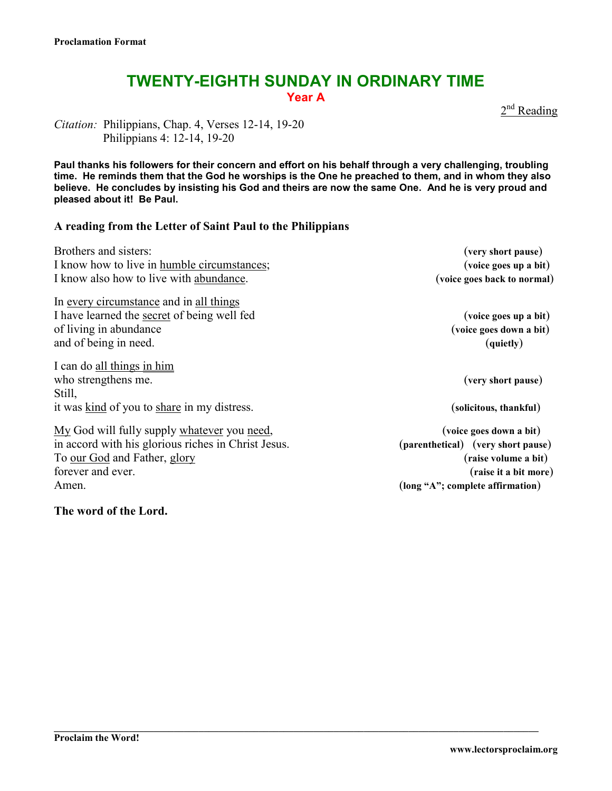## **TWENTY-EIGHTH SUNDAY IN ORDINARY TIME Year A**

2<sup>nd</sup> Reading

*Citation:* Philippians, Chap. 4, Verses 12-14, 19-20 Philippians 4: 12-14, 19-20

**Paul thanks his followers for their concern and effort on his behalf through a very challenging, troubling time. He reminds them that the God he worships is the One he preached to them, and in whom they also believe. He concludes by insisting his God and theirs are now the same One. And he is very proud and pleased about it! Be Paul.** 

### **A reading from the Letter of Saint Paul to the Philippians**

| Brothers and sisters:<br>I know how to live in humble circumstances;<br>I know also how to live with abundance.                                                                                        | (very short pause)<br>(voice goes up a bit)<br>(voice goes back to normal)                                                               |
|--------------------------------------------------------------------------------------------------------------------------------------------------------------------------------------------------------|------------------------------------------------------------------------------------------------------------------------------------------|
| In every circumstance and in all things<br>I have learned the secret of being well fed<br>of living in abundance<br>and of being in need.                                                              | (voice goes up a bit)<br>(voice goes down a bit)<br>(quietly)                                                                            |
| I can do all things in him<br>who strengthens me.<br>Still,                                                                                                                                            | (very short pause)                                                                                                                       |
| it was kind of you to share in my distress.<br>My God will fully supply whatever you need,<br>in accord with his glorious riches in Christ Jesus.<br>To our God and Father, glory<br>forever and ever. | (solicitous, thankful)<br>(voice goes down a bit)<br>(parenthetical) (very short pause)<br>(raise volume a bit)<br>(raise it a bit more) |
| Amen.                                                                                                                                                                                                  | (long "A"; complete affirmation)                                                                                                         |

**\_\_\_\_\_\_\_\_\_\_\_\_\_\_\_\_\_\_\_\_\_\_\_\_\_\_\_\_\_\_\_\_\_\_\_\_\_\_\_\_\_\_\_\_\_\_\_\_\_\_\_\_\_\_\_\_\_\_\_\_\_\_\_\_\_\_\_\_\_\_\_\_\_\_\_\_\_\_\_\_\_\_\_\_\_\_\_\_\_\_\_\_\_\_\_\_\_** 

**The word of the Lord.**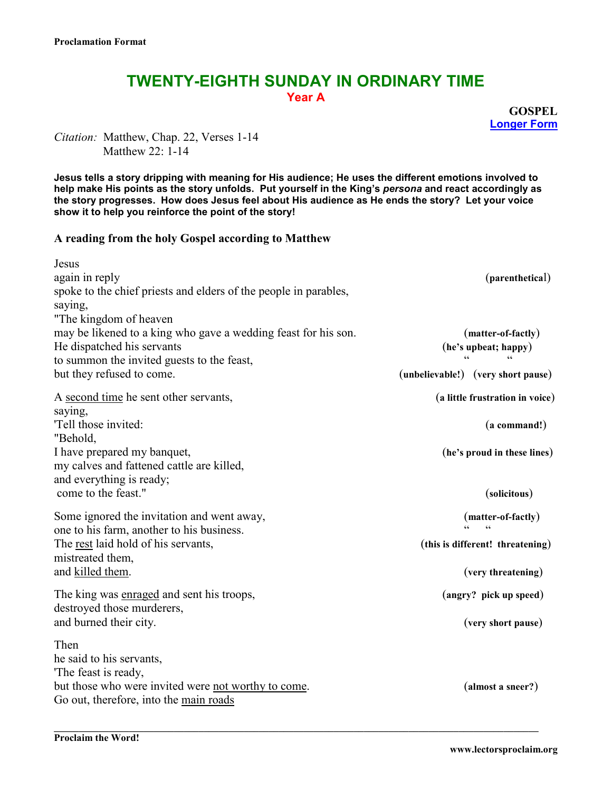# **TWENTY-EIGHTH SUNDAY IN ORDINARY TIME Year A**

**GOSPEL Longer Form**

*Citation:* Matthew, Chap. 22, Verses 1-14 Matthew  $22 \cdot 1 - 14$ 

**Jesus tells a story dripping with meaning for His audience; He uses the different emotions involved to help make His points as the story unfolds. Put yourself in the King's** *persona* **and react accordingly as the story progresses. How does Jesus feel about His audience as He ends the story? Let your voice show it to help you reinforce the point of the story!** 

#### **A reading from the holy Gospel according to Matthew**

| Jesus<br>again in reply<br>spoke to the chief priests and elders of the people in parables,<br>saying,                                                                                            | (parenthetical)                                                                            |
|---------------------------------------------------------------------------------------------------------------------------------------------------------------------------------------------------|--------------------------------------------------------------------------------------------|
| "The kingdom of heaven<br>may be likened to a king who gave a wedding feast for his son.<br>He dispatched his servants<br>to summon the invited guests to the feast,<br>but they refused to come. | (matter-of-factly)<br>(he's upbeat; happy)<br>(unbelievable!) (very short pause)           |
| A second time he sent other servants,<br>saying,<br>'Tell those invited:<br>"Behold,                                                                                                              | (a little frustration in voice)<br>$(a \text{ command!)}$                                  |
| I have prepared my banquet,<br>my calves and fattened cattle are killed,<br>and everything is ready;<br>come to the feast."                                                                       | (he's proud in these lines)<br>(solicitous)                                                |
| Some ignored the invitation and went away,<br>one to his farm, another to his business.<br>The <u>rest</u> laid hold of his servants,<br>mistreated them,<br>and killed them.                     | (matter-of-factly)<br>$\epsilon$<br>(this is different! threatening)<br>(very threatening) |
| The king was enraged and sent his troops,<br>destroyed those murderers,<br>and burned their city.                                                                                                 | (angry? pick up speed)<br>(very short pause)                                               |
| Then<br>he said to his servants,<br>The feast is ready,<br>but those who were invited were not worthy to come.<br>Go out, therefore, into the main roads                                          | (almost a sneer?)                                                                          |

**\_\_\_\_\_\_\_\_\_\_\_\_\_\_\_\_\_\_\_\_\_\_\_\_\_\_\_\_\_\_\_\_\_\_\_\_\_\_\_\_\_\_\_\_\_\_\_\_\_\_\_\_\_\_\_\_\_\_\_\_\_\_\_\_\_\_\_\_\_\_\_\_\_\_\_\_\_\_\_\_\_\_\_\_\_\_\_\_\_\_\_\_\_\_\_\_\_**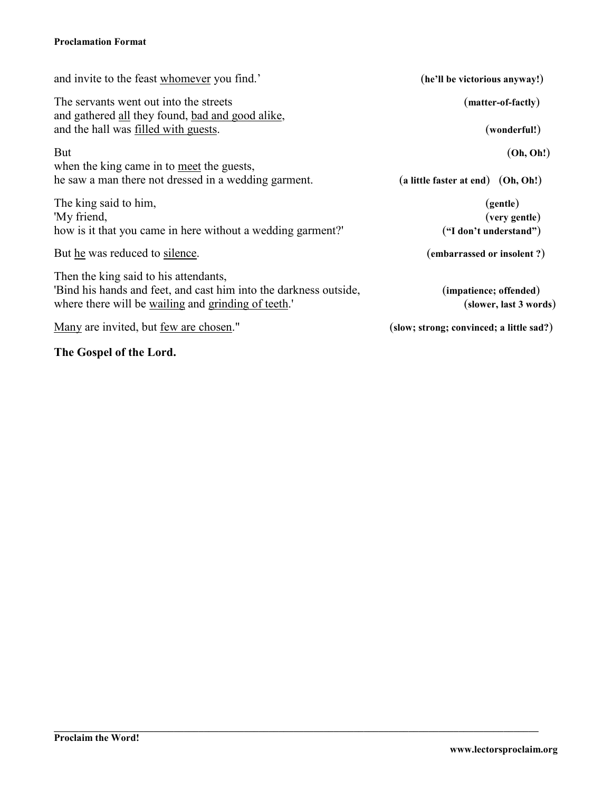### **Proclamation Format**

| and invite to the feast whomever you find.'                                                                                                                      | (he'll be victorious anyway!)                    |
|------------------------------------------------------------------------------------------------------------------------------------------------------------------|--------------------------------------------------|
| The servants went out into the streets<br>and gathered all they found, bad and good alike,                                                                       | (matter-of-factly)                               |
| and the hall was filled with guests.                                                                                                                             | (wonderful!)                                     |
| <b>But</b>                                                                                                                                                       | (Oh, Oh!)                                        |
| when the king came in to <u>meet</u> the guests,<br>he saw a man there not dressed in a wedding garment.                                                         | (a little faster at end) (Oh, Oh!)               |
| The king said to him,                                                                                                                                            | (gentle)                                         |
| 'My friend,                                                                                                                                                      | (very gentle)                                    |
| how is it that you came in here without a wedding garment?                                                                                                       | ("I don't understand")                           |
| But he was reduced to silence.                                                                                                                                   | (embarrassed or insolent?)                       |
| Then the king said to his attendants,<br>'Bind his hands and feet, and cast him into the darkness outside,<br>where there will be wailing and grinding of teeth. | (impatience; offended)<br>(slower, last 3 words) |
| Many are invited, but few are chosen."                                                                                                                           | (slow; strong; convinced; a little sad?)         |

**\_\_\_\_\_\_\_\_\_\_\_\_\_\_\_\_\_\_\_\_\_\_\_\_\_\_\_\_\_\_\_\_\_\_\_\_\_\_\_\_\_\_\_\_\_\_\_\_\_\_\_\_\_\_\_\_\_\_\_\_\_\_\_\_\_\_\_\_\_\_\_\_\_\_\_\_\_\_\_\_\_\_\_\_\_\_\_\_\_\_\_\_\_\_\_\_\_** 

**The Gospel of the Lord.**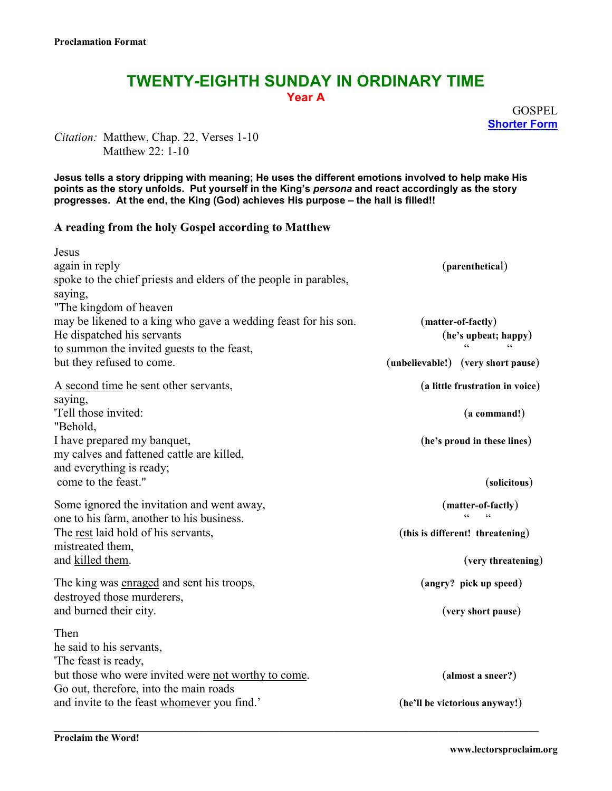# **TWENTY-EIGHTH SUNDAY IN ORDINARY TIME Year A**

**GOSPEL Shorter Form**

*Citation:* Matthew, Chap. 22, Verses 1-10 Matthew  $22 \cdot 1 - 10$ 

**Jesus tells a story dripping with meaning; He uses the different emotions involved to help make His points as the story unfolds. Put yourself in the King's** *persona* **and react accordingly as the story progresses. At the end, the King (God) achieves His purpose – the hall is filled!!** 

#### **A reading from the holy Gospel according to Matthew**

| (parenthetical)                    |
|------------------------------------|
|                                    |
|                                    |
|                                    |
| (matter-of-factly)                 |
| (he's upbeat; happy)               |
|                                    |
| (unbelievable!) (very short pause) |
| (a little frustration in voice)    |
|                                    |
| (a command!)                       |
|                                    |
| (he's proud in these lines)        |
|                                    |
|                                    |
| (solicitous)                       |
| (matter-of-factly)                 |
|                                    |
| (this is different! threatening)   |
|                                    |
| (very threatening)                 |
| (angry? pick up speed)             |
|                                    |
| (very short pause)                 |
|                                    |
|                                    |
|                                    |
| (almost a sneer?)                  |
|                                    |
| (he'll be victorious anyway!)      |
|                                    |

**\_\_\_\_\_\_\_\_\_\_\_\_\_\_\_\_\_\_\_\_\_\_\_\_\_\_\_\_\_\_\_\_\_\_\_\_\_\_\_\_\_\_\_\_\_\_\_\_\_\_\_\_\_\_\_\_\_\_\_\_\_\_\_\_\_\_\_\_\_\_\_\_\_\_\_\_\_\_\_\_\_\_\_\_\_\_\_\_\_\_\_\_\_\_\_\_\_**